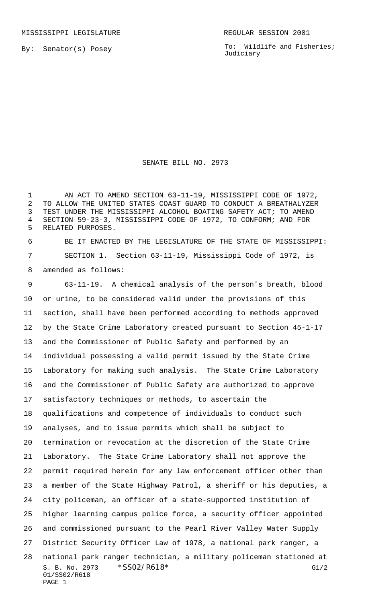By: Senator(s) Posey

To: Wildlife and Fisheries; Judiciary

## SENATE BILL NO. 2973

1 AN ACT TO AMEND SECTION 63-11-19, MISSISSIPPI CODE OF 1972, TO ALLOW THE UNITED STATES COAST GUARD TO CONDUCT A BREATHALYZER TEST UNDER THE MISSISSIPPI ALCOHOL BOATING SAFETY ACT; TO AMEND SECTION 59-23-3, MISSISSIPPI CODE OF 1972, TO CONFORM; AND FOR RELATED PURPOSES.

 BE IT ENACTED BY THE LEGISLATURE OF THE STATE OF MISSISSIPPI: SECTION 1. Section 63-11-19, Mississippi Code of 1972, is amended as follows:

S. B. No. 2973  $*SS02/R618*$  G1/2 01/SS02/R618 PAGE 1 63-11-19. A chemical analysis of the person's breath, blood or urine, to be considered valid under the provisions of this section, shall have been performed according to methods approved by the State Crime Laboratory created pursuant to Section 45-1-17 and the Commissioner of Public Safety and performed by an individual possessing a valid permit issued by the State Crime Laboratory for making such analysis. The State Crime Laboratory and the Commissioner of Public Safety are authorized to approve satisfactory techniques or methods, to ascertain the qualifications and competence of individuals to conduct such analyses, and to issue permits which shall be subject to termination or revocation at the discretion of the State Crime Laboratory. The State Crime Laboratory shall not approve the permit required herein for any law enforcement officer other than a member of the State Highway Patrol, a sheriff or his deputies, a city policeman, an officer of a state-supported institution of higher learning campus police force, a security officer appointed and commissioned pursuant to the Pearl River Valley Water Supply District Security Officer Law of 1978, a national park ranger, a national park ranger technician, a military policeman stationed at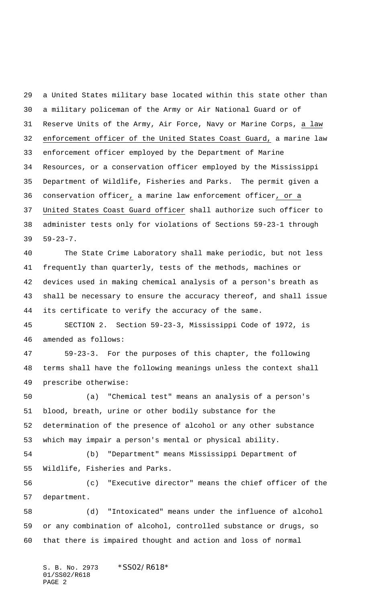a United States military base located within this state other than a military policeman of the Army or Air National Guard or of Reserve Units of the Army, Air Force, Navy or Marine Corps, a law enforcement officer of the United States Coast Guard, a marine law enforcement officer employed by the Department of Marine Resources, or a conservation officer employed by the Mississippi Department of Wildlife, Fisheries and Parks. The permit given a conservation officer, a marine law enforcement officer, or a United States Coast Guard officer shall authorize such officer to administer tests only for violations of Sections 59-23-1 through 59-23-7.

 The State Crime Laboratory shall make periodic, but not less frequently than quarterly, tests of the methods, machines or devices used in making chemical analysis of a person's breath as shall be necessary to ensure the accuracy thereof, and shall issue its certificate to verify the accuracy of the same.

 SECTION 2. Section 59-23-3, Mississippi Code of 1972, is amended as follows:

 59-23-3. For the purposes of this chapter, the following terms shall have the following meanings unless the context shall prescribe otherwise:

 (a) "Chemical test" means an analysis of a person's blood, breath, urine or other bodily substance for the determination of the presence of alcohol or any other substance which may impair a person's mental or physical ability.

 (b) "Department" means Mississippi Department of Wildlife, Fisheries and Parks.

 (c) "Executive director" means the chief officer of the department.

 (d) "Intoxicated" means under the influence of alcohol or any combination of alcohol, controlled substance or drugs, so that there is impaired thought and action and loss of normal

S. B. No. 2973 \*SS02/R618\* 01/SS02/R618 PAGE 2